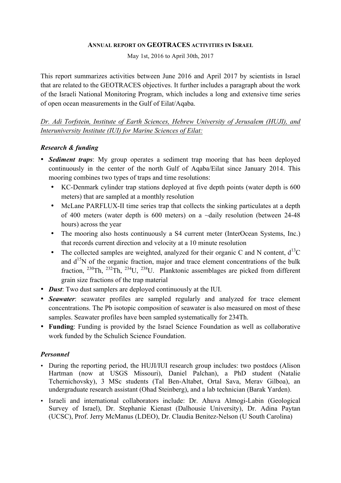#### **ANNUAL REPORT ON GEOTRACES ACTIVITIES IN ISRAEL**

May 1st, 2016 to April 30th, 2017

This report summarizes activities between June 2016 and April 2017 by scientists in Israel that are related to the GEOTRACES objectives. It further includes a paragraph about the work of the Israeli National Monitoring Program, which includes a long and extensive time series of open ocean measurements in the Gulf of Eilat/Aqaba.

*Dr. Adi Torfstein, Institute of Earth Sciences, Hebrew University of Jerusalem (HUJI), and Interuniversity Institute (IUI) for Marine Sciences of Eilat:*

# *Research & funding*

- *Sediment traps*: My group operates a sediment trap mooring that has been deployed continuously in the center of the north Gulf of Aqaba/Eilat since January 2014. This mooring combines two types of traps and time resolutions:
	- KC-Denmark cylinder trap stations deployed at five depth points (water depth is 600 meters) that are sampled at a monthly resolution
	- McLane PARFLUX-II time series trap that collects the sinking particulates at a depth of 400 meters (water depth is 600 meters) on a ~daily resolution (between 24-48 hours) across the year
	- The mooring also hosts continuously a S4 current meter (InterOcean Systems, Inc.) that records current direction and velocity at a 10 minute resolution
	- The collected samples are weighted, analyzed for their organic C and N content,  $d^{13}C$ and  $d^{15}N$  of the organic fraction, major and trace element concentrations of the bulk fraction,  $^{230}$ Th,  $^{232}$ Th,  $^{234}$ U,  $^{238}$ U. Planktonic assemblages are picked from different grain size fractions of the trap material
- *Dust*: Two dust samplers are deployed continuously at the IUI.
- *Seawater*: seawater profiles are sampled regularly and analyzed for trace element concentrations. The Pb isotopic composition of seawater is also measured on most of these samples. Seawater profiles have been sampled systematically for 234Th.
- **Funding**: Funding is provided by the Israel Science Foundation as well as collaborative work funded by the Schulich Science Foundation.

# *Personnel*

- During the reporting period, the HUJI/IUI research group includes: two postdocs (Alison Hartman (now at USGS Missouri), Daniel Palchan), a PhD student (Natalie Tchernichovsky), 3 MSc students (Tal Ben-Altabet, Ortal Sava, Merav Gilboa), an undergraduate research assistant (Ohad Steinberg), and a lab technician (Barak Yarden).
- Israeli and international collaborators include: Dr. Ahuva Almogi-Labin (Geological Survey of Israel), Dr. Stephanie Kienast (Dalhousie University), Dr. Adina Paytan (UCSC), Prof. Jerry McManus (LDEO), Dr. Claudia Benitez-Nelson (U South Carolina)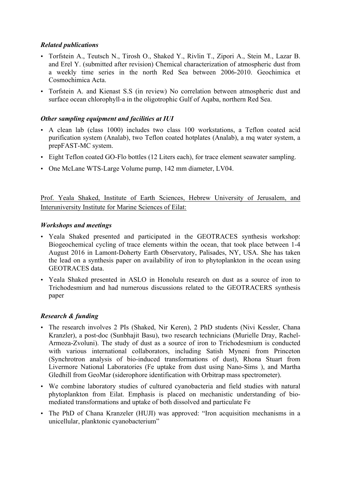### *Related publications*

- Torfstein A., Teutsch N., Tirosh O., Shaked Y., Rivlin T., Zipori A., Stein M., Lazar B. and Erel Y. (submitted after revision) Chemical characterization of atmospheric dust from a weekly time series in the north Red Sea between 2006-2010. Geochimica et Cosmochimica Acta.
- Torfstein A. and Kienast S.S (in review) No correlation between atmospheric dust and surface ocean chlorophyll-a in the oligotrophic Gulf of Aqaba, northern Red Sea.

#### *Other sampling equipment and facilities at IUI*

- A clean lab (class 1000) includes two class 100 workstations, a Teflon coated acid purification system (Analab), two Teflon coated hotplates (Analab), a mq water system, a prepFAST-MC system.
- Eight Teflon coated GO-Flo bottles (12 Liters each), for trace element seawater sampling.
- One McLane WTS-Large Volume pump, 142 mm diameter, LV04.

Prof. Yeala Shaked, Institute of Earth Sciences, Hebrew University of Jerusalem, and Interuniversity Institute for Marine Sciences of Eilat:

#### *Workshops and meetings*

- Yeala Shaked presented and participated in the GEOTRACES synthesis workshop: Biogeochemical cycling of trace elements within the ocean, that took place between 1-4 August 2016 in Lamont-Doherty Earth Observatory, Palisades, NY, USA. She has taken the lead on a synthesis paper on availability of iron to phytoplankton in the ocean using GEOTRACES data.
- Yeala Shaked presented in ASLO in Honolulu research on dust as a source of iron to Trichodesmium and had numerous discussions related to the GEOTRACERS synthesis paper

#### *Research & funding*

- The research involves 2 PIs (Shaked, Nir Keren), 2 PhD students (Nivi Kessler, Chana Kranzler), a post-doc (Sunbhajit Basu), two research technicians (Murielle Dray, Rachel-Armoza-Zvoluni). The study of dust as a source of iron to Trichodesmium is conducted with various international collaborators, including Satish Myneni from Princeton (Synchrotron analysis of bio-induced transformations of dust), Rhona Stuart from Livermore National Laboratories (Fe uptake from dust using Nano-Sims ), and Martha Gledhill from GeoMar (siderophore identification with Orbitrap mass spectrometer).
- We combine laboratory studies of cultured cyanobacteria and field studies with natural phytoplankton from Eilat. Emphasis is placed on mechanistic understanding of biomediated transformations and uptake of both dissolved and particulate Fe
- The PhD of Chana Kranzeler (HUJI) was approved: "Iron acquisition mechanisms in a unicellular, planktonic cyanobacterium"